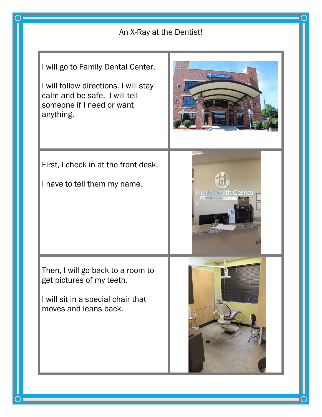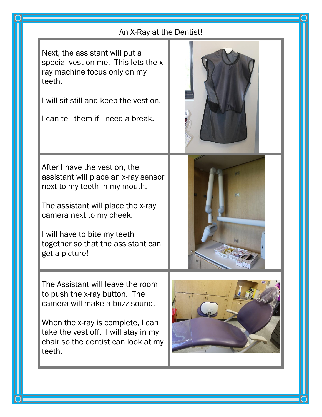## An X-Ray at the Dentist!

l,

l

Next, the assistant will put a special vest on me. This lets the xray machine focus only on my teeth.

I will sit still and keep the vest on.

I can tell them if I need a break.



After I have the vest on, the assistant will place an x-ray sensor next to my teeth in my mouth.

The assistant will place the x-ray camera next to my cheek.

I will have to bite my teeth together so that the assistant can get a picture!

The Assistant will leave the room to push the x-ray button. The camera will make a buzz sound.

When the x-ray is complete, I can take the vest off. I will stay in my chair so the dentist can look at my teeth.